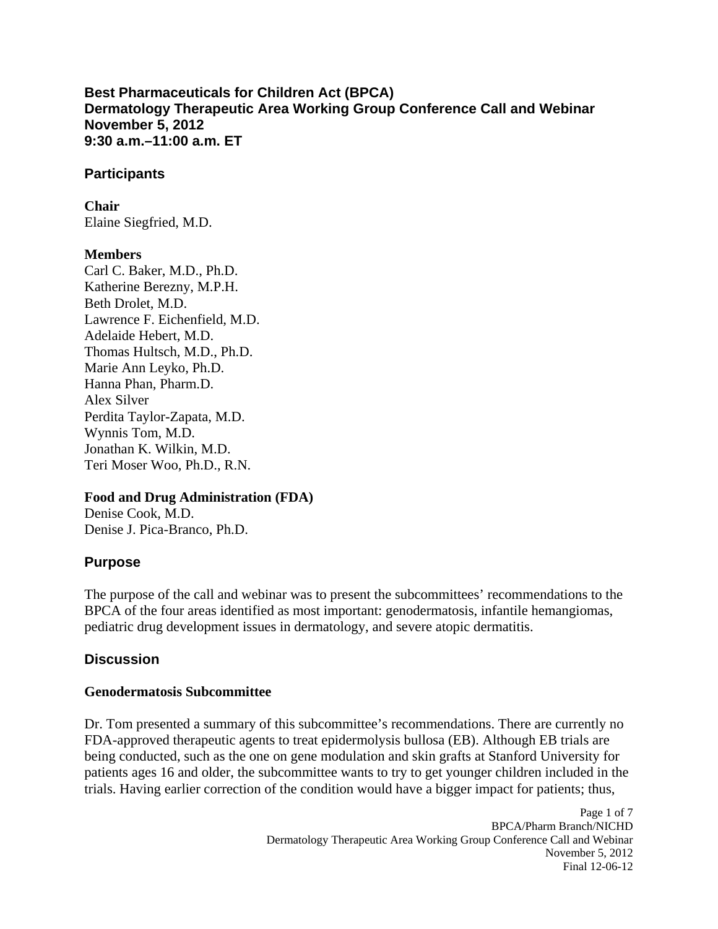**Best Pharmaceuticals for Children Act (BPCA) Dermatology Therapeutic Area Working Group Conference Call and Webinar November 5, 2012 9:30 a.m.–11:00 a.m. ET** 

#### **Participants**

**Chair** 

Elaine Siegfried, M.D.

### **Members**

Carl C. Baker, M.D., Ph.D. Katherine Berezny, M.P.H. Beth Drolet, M.D. Lawrence F. Eichenfield, M.D. Adelaide Hebert, M.D. Thomas Hultsch, M.D., Ph.D. Marie Ann Leyko, Ph.D. Hanna Phan, Pharm.D. Alex Silver Perdita Taylor-Zapata, M.D. Wynnis Tom, M.D. Jonathan K. Wilkin, M.D. Teri Moser Woo, Ph.D., R.N.

### **Food and Drug Administration (FDA)**

Denise Cook, M.D. Denise J. Pica-Branco, Ph.D.

# **Purpose**

The purpose of the call and webinar was to present the subcommittees' recommendations to the BPCA of the four areas identified as most important: genodermatosis, infantile hemangiomas, pediatric drug development issues in dermatology, and severe atopic dermatitis.

# **Discussion**

# **Genodermatosis Subcommittee**

Dr. Tom presented a summary of this subcommittee's recommendations. There are currently no FDA-approved therapeutic agents to treat epidermolysis bullosa (EB). Although EB trials are being conducted, such as the one on gene modulation and skin grafts at Stanford University for patients ages 16 and older, the subcommittee wants to try to get younger children included in the trials. Having earlier correction of the condition would have a bigger impact for patients; thus,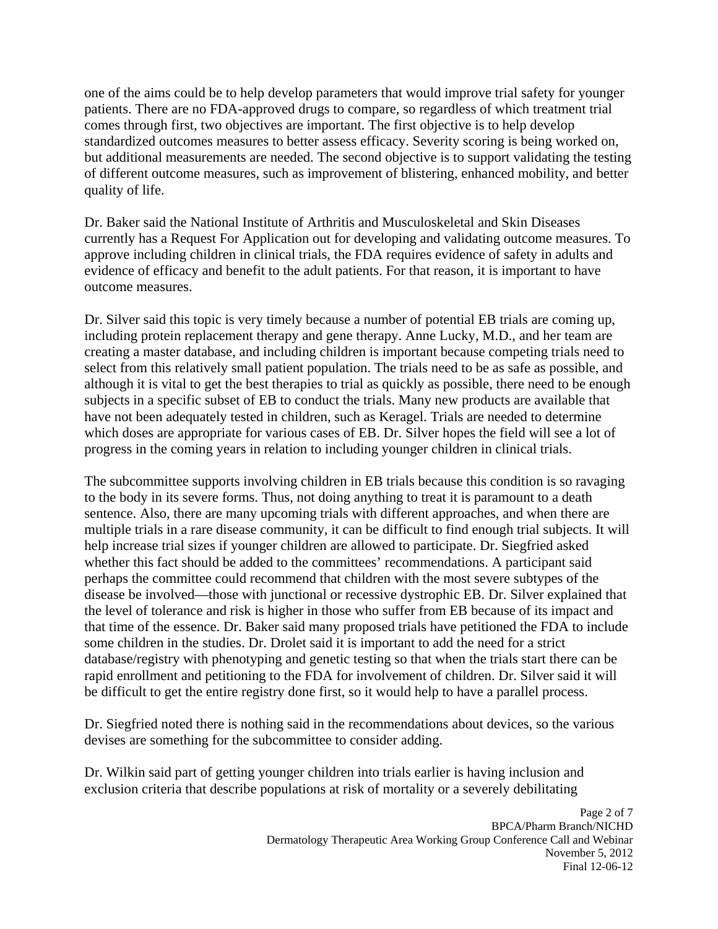one of the aims could be to help develop parameters that would improve trial safety for younger patients. There are no FDA-approved drugs to compare, so regardless of which treatment trial comes through first, two objectives are important. The first objective is to help develop standardized outcomes measures to better assess efficacy. Severity scoring is being worked on, but additional measurements are needed. The second objective is to support validating the testing of different outcome measures, such as improvement of blistering, enhanced mobility, and better quality of life.

Dr. Baker said the National Institute of Arthritis and Musculoskeletal and Skin Diseases currently has a Request For Application out for developing and validating outcome measures. To approve including children in clinical trials, the FDA requires evidence of safety in adults and evidence of efficacy and benefit to the adult patients. For that reason, it is important to have outcome measures.

Dr. Silver said this topic is very timely because a number of potential EB trials are coming up, including protein replacement therapy and gene therapy. Anne Lucky, M.D., and her team are creating a master database, and including children is important because competing trials need to select from this relatively small patient population. The trials need to be as safe as possible, and although it is vital to get the best therapies to trial as quickly as possible, there need to be enough subjects in a specific subset of EB to conduct the trials. Many new products are available that have not been adequately tested in children, such as Keragel. Trials are needed to determine which doses are appropriate for various cases of EB. Dr. Silver hopes the field will see a lot of progress in the coming years in relation to including younger children in clinical trials.

The subcommittee supports involving children in EB trials because this condition is so ravaging to the body in its severe forms. Thus, not doing anything to treat it is paramount to a death sentence. Also, there are many upcoming trials with different approaches, and when there are multiple trials in a rare disease community, it can be difficult to find enough trial subjects. It will help increase trial sizes if younger children are allowed to participate. Dr. Siegfried asked whether this fact should be added to the committees' recommendations. A participant said perhaps the committee could recommend that children with the most severe subtypes of the disease be involved––those with junctional or recessive dystrophic EB. Dr. Silver explained that the level of tolerance and risk is higher in those who suffer from EB because of its impact and that time of the essence. Dr. Baker said many proposed trials have petitioned the FDA to include some children in the studies. Dr. Drolet said it is important to add the need for a strict database/registry with phenotyping and genetic testing so that when the trials start there can be rapid enrollment and petitioning to the FDA for involvement of children. Dr. Silver said it will be difficult to get the entire registry done first, so it would help to have a parallel process.

Dr. Siegfried noted there is nothing said in the recommendations about devices, so the various devises are something for the subcommittee to consider adding.

Dr. Wilkin said part of getting younger children into trials earlier is having inclusion and exclusion criteria that describe populations at risk of mortality or a severely debilitating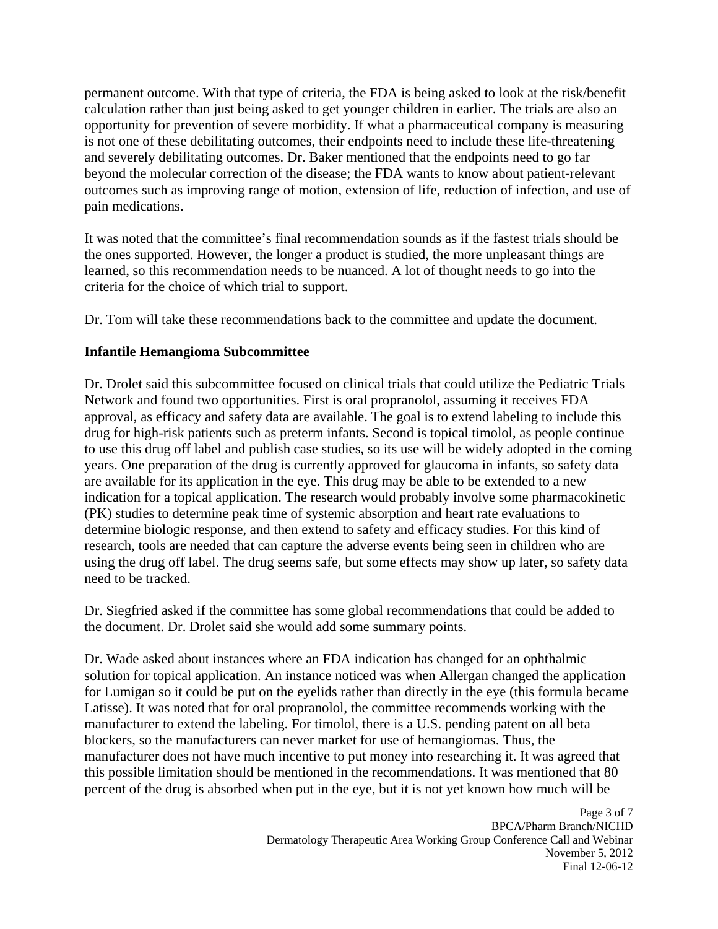permanent outcome. With that type of criteria, the FDA is being asked to look at the risk/benefit calculation rather than just being asked to get younger children in earlier. The trials are also an opportunity for prevention of severe morbidity. If what a pharmaceutical company is measuring is not one of these debilitating outcomes, their endpoints need to include these life-threatening and severely debilitating outcomes. Dr. Baker mentioned that the endpoints need to go far beyond the molecular correction of the disease; the FDA wants to know about patient-relevant outcomes such as improving range of motion, extension of life, reduction of infection, and use of pain medications.

It was noted that the committee's final recommendation sounds as if the fastest trials should be the ones supported. However, the longer a product is studied, the more unpleasant things are learned, so this recommendation needs to be nuanced. A lot of thought needs to go into the criteria for the choice of which trial to support.

Dr. Tom will take these recommendations back to the committee and update the document.

#### **Infantile Hemangioma Subcommittee**

Dr. Drolet said this subcommittee focused on clinical trials that could utilize the Pediatric Trials Network and found two opportunities. First is oral propranolol, assuming it receives FDA approval, as efficacy and safety data are available. The goal is to extend labeling to include this drug for high-risk patients such as preterm infants. Second is topical timolol, as people continue to use this drug off label and publish case studies, so its use will be widely adopted in the coming years. One preparation of the drug is currently approved for glaucoma in infants, so safety data are available for its application in the eye. This drug may be able to be extended to a new indication for a topical application. The research would probably involve some pharmacokinetic (PK) studies to determine peak time of systemic absorption and heart rate evaluations to determine biologic response, and then extend to safety and efficacy studies. For this kind of research, tools are needed that can capture the adverse events being seen in children who are using the drug off label. The drug seems safe, but some effects may show up later, so safety data need to be tracked.

Dr. Siegfried asked if the committee has some global recommendations that could be added to the document. Dr. Drolet said she would add some summary points.

Dr. Wade asked about instances where an FDA indication has changed for an ophthalmic solution for topical application. An instance noticed was when Allergan changed the application for Lumigan so it could be put on the eyelids rather than directly in the eye (this formula became Latisse). It was noted that for oral propranolol, the committee recommends working with the manufacturer to extend the labeling. For timolol, there is a U.S. pending patent on all beta blockers, so the manufacturers can never market for use of hemangiomas. Thus, the manufacturer does not have much incentive to put money into researching it. It was agreed that this possible limitation should be mentioned in the recommendations. It was mentioned that 80 percent of the drug is absorbed when put in the eye, but it is not yet known how much will be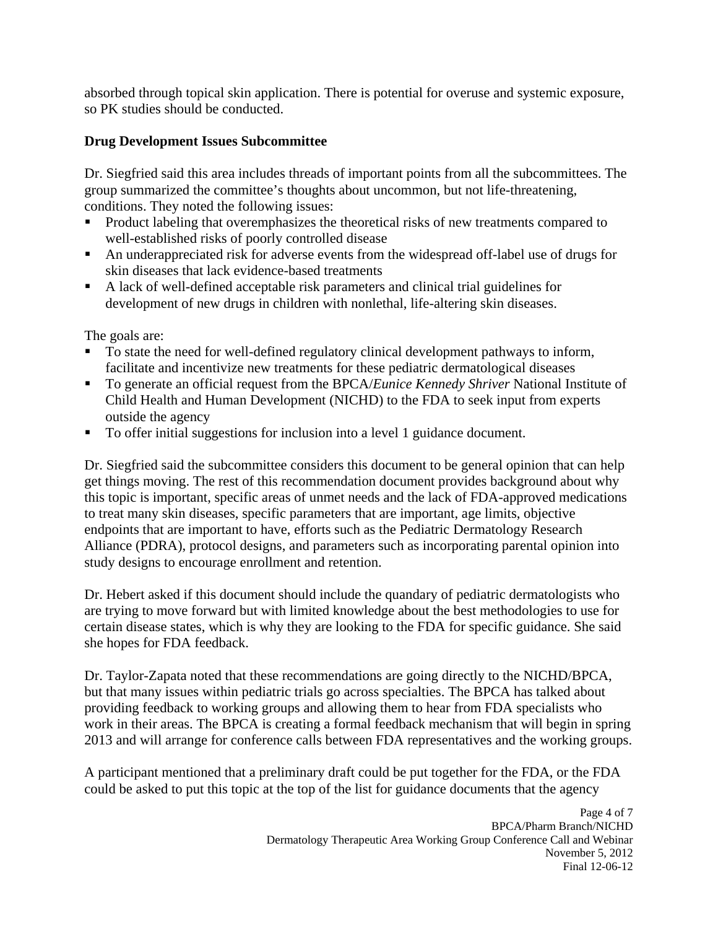absorbed through topical skin application. There is potential for overuse and systemic exposure, so PK studies should be conducted.

### **Drug Development Issues Subcommittee**

Dr. Siegfried said this area includes threads of important points from all the subcommittees. The group summarized the committee's thoughts about uncommon, but not life-threatening, conditions. They noted the following issues:

- Product labeling that overemphasizes the theoretical risks of new treatments compared to well-established risks of poorly controlled disease
- An underappreciated risk for adverse events from the widespread off-label use of drugs for skin diseases that lack evidence-based treatments
- A lack of well-defined acceptable risk parameters and clinical trial guidelines for development of new drugs in children with nonlethal, life-altering skin diseases.

The goals are:

- To state the need for well-defined regulatory clinical development pathways to inform, facilitate and incentivize new treatments for these pediatric dermatological diseases
- To generate an official request from the BPCA/*Eunice Kennedy Shriver* National Institute of Child Health and Human Development (NICHD) to the FDA to seek input from experts outside the agency
- To offer initial suggestions for inclusion into a level 1 guidance document.

Dr. Siegfried said the subcommittee considers this document to be general opinion that can help get things moving. The rest of this recommendation document provides background about why this topic is important, specific areas of unmet needs and the lack of FDA-approved medications to treat many skin diseases, specific parameters that are important, age limits, objective endpoints that are important to have, efforts such as the Pediatric Dermatology Research Alliance (PDRA), protocol designs, and parameters such as incorporating parental opinion into study designs to encourage enrollment and retention.

Dr. Hebert asked if this document should include the quandary of pediatric dermatologists who are trying to move forward but with limited knowledge about the best methodologies to use for certain disease states, which is why they are looking to the FDA for specific guidance. She said she hopes for FDA feedback.

Dr. Taylor-Zapata noted that these recommendations are going directly to the NICHD/BPCA, but that many issues within pediatric trials go across specialties. The BPCA has talked about providing feedback to working groups and allowing them to hear from FDA specialists who work in their areas. The BPCA is creating a formal feedback mechanism that will begin in spring 2013 and will arrange for conference calls between FDA representatives and the working groups.

A participant mentioned that a preliminary draft could be put together for the FDA, or the FDA could be asked to put this topic at the top of the list for guidance documents that the agency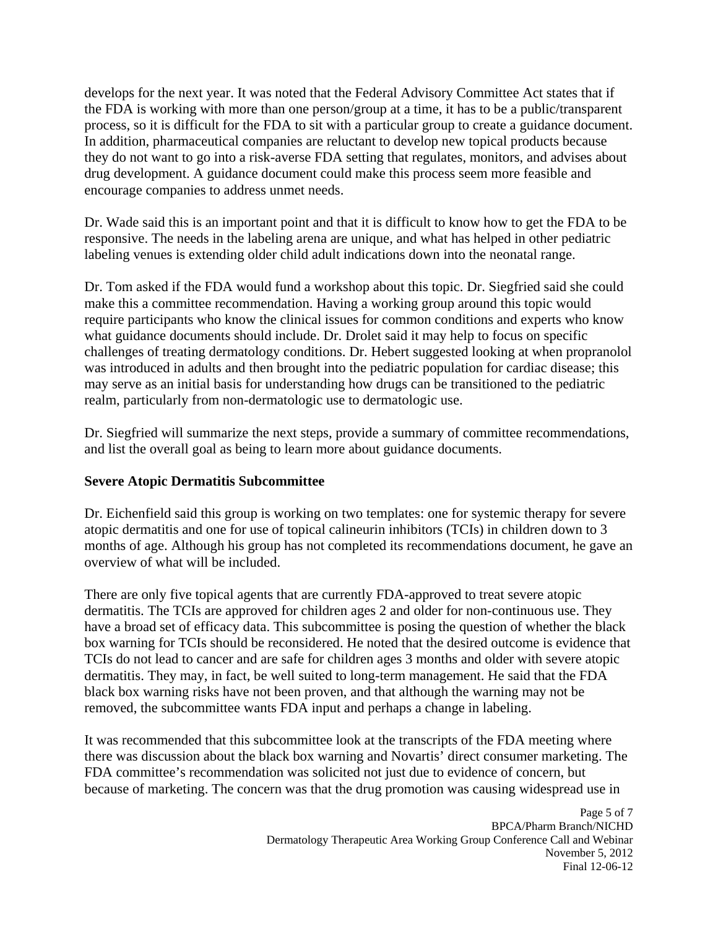develops for the next year. It was noted that the Federal Advisory Committee Act states that if the FDA is working with more than one person/group at a time, it has to be a public/transparent process, so it is difficult for the FDA to sit with a particular group to create a guidance document. In addition, pharmaceutical companies are reluctant to develop new topical products because they do not want to go into a risk-averse FDA setting that regulates, monitors, and advises about drug development. A guidance document could make this process seem more feasible and encourage companies to address unmet needs.

Dr. Wade said this is an important point and that it is difficult to know how to get the FDA to be responsive. The needs in the labeling arena are unique, and what has helped in other pediatric labeling venues is extending older child adult indications down into the neonatal range.

Dr. Tom asked if the FDA would fund a workshop about this topic. Dr. Siegfried said she could make this a committee recommendation. Having a working group around this topic would require participants who know the clinical issues for common conditions and experts who know what guidance documents should include. Dr. Drolet said it may help to focus on specific challenges of treating dermatology conditions. Dr. Hebert suggested looking at when propranolol was introduced in adults and then brought into the pediatric population for cardiac disease; this may serve as an initial basis for understanding how drugs can be transitioned to the pediatric realm, particularly from non-dermatologic use to dermatologic use.

Dr. Siegfried will summarize the next steps, provide a summary of committee recommendations, and list the overall goal as being to learn more about guidance documents.

### **Severe Atopic Dermatitis Subcommittee**

Dr. Eichenfield said this group is working on two templates: one for systemic therapy for severe atopic dermatitis and one for use of topical calineurin inhibitors (TCIs) in children down to 3 months of age. Although his group has not completed its recommendations document, he gave an overview of what will be included.

There are only five topical agents that are currently FDA-approved to treat severe atopic dermatitis. The TCIs are approved for children ages 2 and older for non-continuous use. They have a broad set of efficacy data. This subcommittee is posing the question of whether the black box warning for TCIs should be reconsidered. He noted that the desired outcome is evidence that TCIs do not lead to cancer and are safe for children ages 3 months and older with severe atopic dermatitis. They may, in fact, be well suited to long-term management. He said that the FDA black box warning risks have not been proven, and that although the warning may not be removed, the subcommittee wants FDA input and perhaps a change in labeling.

It was recommended that this subcommittee look at the transcripts of the FDA meeting where there was discussion about the black box warning and Novartis' direct consumer marketing. The FDA committee's recommendation was solicited not just due to evidence of concern, but because of marketing. The concern was that the drug promotion was causing widespread use in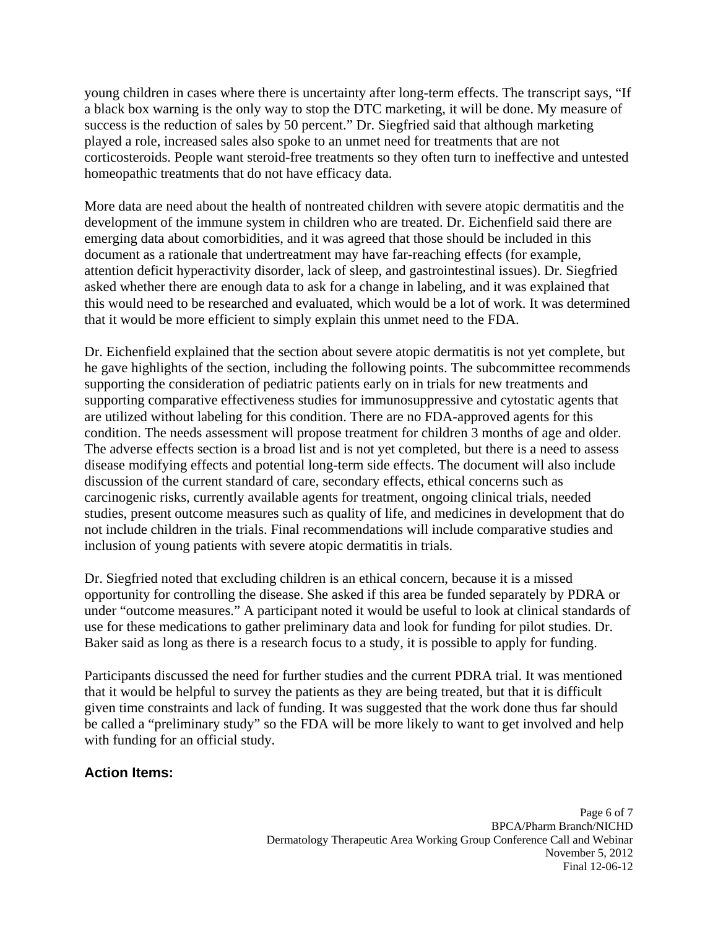young children in cases where there is uncertainty after long-term effects. The transcript says, "If a black box warning is the only way to stop the DTC marketing, it will be done. My measure of success is the reduction of sales by 50 percent." Dr. Siegfried said that although marketing played a role, increased sales also spoke to an unmet need for treatments that are not corticosteroids. People want steroid-free treatments so they often turn to ineffective and untested homeopathic treatments that do not have efficacy data.

More data are need about the health of nontreated children with severe atopic dermatitis and the development of the immune system in children who are treated. Dr. Eichenfield said there are emerging data about comorbidities, and it was agreed that those should be included in this document as a rationale that undertreatment may have far-reaching effects (for example, attention deficit hyperactivity disorder, lack of sleep, and gastrointestinal issues). Dr. Siegfried asked whether there are enough data to ask for a change in labeling, and it was explained that this would need to be researched and evaluated, which would be a lot of work. It was determined that it would be more efficient to simply explain this unmet need to the FDA.

Dr. Eichenfield explained that the section about severe atopic dermatitis is not yet complete, but he gave highlights of the section, including the following points. The subcommittee recommends supporting the consideration of pediatric patients early on in trials for new treatments and supporting comparative effectiveness studies for immunosuppressive and cytostatic agents that are utilized without labeling for this condition. There are no FDA-approved agents for this condition. The needs assessment will propose treatment for children 3 months of age and older. The adverse effects section is a broad list and is not yet completed, but there is a need to assess disease modifying effects and potential long-term side effects. The document will also include discussion of the current standard of care, secondary effects, ethical concerns such as carcinogenic risks, currently available agents for treatment, ongoing clinical trials, needed studies, present outcome measures such as quality of life, and medicines in development that do not include children in the trials. Final recommendations will include comparative studies and inclusion of young patients with severe atopic dermatitis in trials.

Dr. Siegfried noted that excluding children is an ethical concern, because it is a missed opportunity for controlling the disease. She asked if this area be funded separately by PDRA or under "outcome measures." A participant noted it would be useful to look at clinical standards of use for these medications to gather preliminary data and look for funding for pilot studies. Dr. Baker said as long as there is a research focus to a study, it is possible to apply for funding.

Participants discussed the need for further studies and the current PDRA trial. It was mentioned that it would be helpful to survey the patients as they are being treated, but that it is difficult given time constraints and lack of funding. It was suggested that the work done thus far should be called a "preliminary study" so the FDA will be more likely to want to get involved and help with funding for an official study.

### **Action Items:**